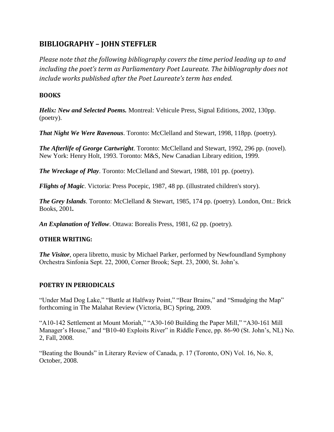# **BIBLIOGRAPHY – JOHN STEFFLER**

*Please note that the following bibliography covers the time period leading up to and including the poet's term as Parliamentary Poet Laureate. The bibliography does not include works published after the Poet Laureate's term has ended.*

# **BOOKS**

*Helix: New and Selected Poems.* Montreal: Vehicule Press, Signal Editions, 2002, 130pp. (poetry).

*That Night We Were Ravenous*. Toronto: McClelland and Stewart, 1998, 118pp. (poetry).

*The Afterlife of George Cartwright*. Toronto: McClelland and Stewart, 1992, 296 pp. (novel). New York: Henry Holt, 1993. Toronto: M&S, New Canadian Library edition, 1999.

*The Wreckage of Play*. Toronto: McClelland and Stewart, 1988, 101 pp. (poetry).

*Flights of Magic*. Victoria: Press Pocepic, 1987, 48 pp. (illustrated children's story).

*The Grey Islands*. Toronto: McClelland & Stewart, 1985, 174 pp. (poetry). London, Ont.: Brick Books, 2001*.*

*An Explanation of Yellow*. Ottawa: Borealis Press, 1981, 62 pp. (poetry).

### **OTHER WRITING:**

*The Visitor*, opera libretto, music by Michael Parker, performed by Newfoundland Symphony Orchestra Sinfonia Sept. 22, 2000, Corner Brook; Sept. 23, 2000, St. John's.

# **POETRY IN PERIODICALS**

"Under Mad Dog Lake," "Battle at Halfway Point," "Bear Brains," and "Smudging the Map" forthcoming in The Malahat Review (Victoria, BC) Spring, 2009.

"A10-142 Settlement at Mount Moriah," "A30-160 Building the Paper Mill," "A30-161 Mill Manager's House," and "B10-40 Exploits River" in Riddle Fence, pp. 86-90 (St. John's, NL) No. 2, Fall, 2008.

"Beating the Bounds" in Literary Review of Canada, p. 17 (Toronto, ON) Vol. 16, No. 8, October, 2008.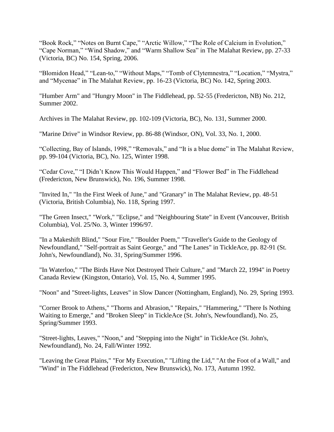"Book Rock," "Notes on Burnt Cape," "Arctic Willow," "The Role of Calcium in Evolution," "Cape Norman," "Wind Shadow," and "Warm Shallow Sea" in The Malahat Review, pp. 27-33 (Victoria, BC) No. 154, Spring, 2006.

"Blomidon Head," "Lean-to," "Without Maps," "Tomb of Clytemnestra," "Location," "Mystra," and "Mycenae" in The Malahat Review, pp. 16-23 (Victoria, BC) No. 142, Spring 2003.

"Humber Arm" and "Hungry Moon" in The Fiddlehead, pp. 52-55 (Fredericton, NB) No. 212, Summer 2002.

Archives in The Malahat Review, pp. 102-109 (Victoria, BC), No. 131, Summer 2000.

"Marine Drive" in Windsor Review, pp. 86-88 (Windsor, ON), Vol. 33, No. 1, 2000.

"Collecting, Bay of Islands, 1998," "Removals," and "It is a blue dome" in The Malahat Review, pp. 99-104 (Victoria, BC), No. 125, Winter 1998.

"Cedar Cove," "I Didn't Know This Would Happen," and "Flower Bed" in The Fiddlehead (Fredericton, New Brunswick), No. 196, Summer 1998.

"Invited In," "In the First Week of June," and "Granary" in The Malahat Review, pp. 48-51 (Victoria, British Columbia), No. 118, Spring 1997.

"The Green Insect," "Work," "Eclipse," and "Neighbouring State" in Event (Vancouver, British Columbia), Vol. 25/No. 3, Winter 1996/97.

"In a Makeshift Blind," "Sour Fire," "Boulder Poem," "Traveller's Guide to the Geology of Newfoundland," "Self-portrait as Saint George," and "The Lanes" in TickleAce, pp. 82-91 (St. John's, Newfoundland), No. 31, Spring/Summer 1996.

"In Waterloo," "The Birds Have Not Destroyed Their Culture," and "March 22, 1994" in Poetry Canada Review (Kingston, Ontario), Vol. 15, No. 4, Summer 1995.

"Noon" and "Street-lights, Leaves" in Slow Dancer (Nottingham, England), No. 29, Spring 1993.

"Corner Brook to Athens," "Thorns and Abrasion," "Repairs," "Hammering," "There Is Nothing Waiting to Emerge," and "Broken Sleep" in TickleAce (St. John's, Newfoundland), No. 25, Spring/Summer 1993.

"Street-lights, Leaves," "Noon," and "Stepping into the Night" in TickleAce (St. John's, Newfoundland), No. 24, Fall/Winter 1992.

"Leaving the Great Plains," "For My Execution," "Lifting the Lid," "At the Foot of a Wall," and "Wind" in The Fiddlehead (Fredericton, New Brunswick), No. 173, Autumn 1992.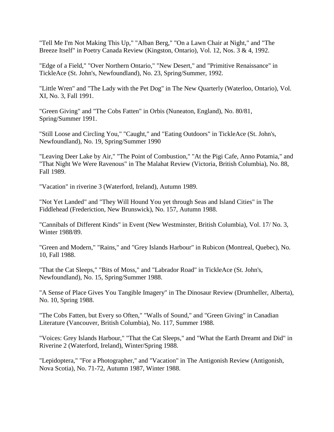"Tell Me I'm Not Making This Up," "Alban Berg," "On a Lawn Chair at Night," and "The Breeze Itself" in Poetry Canada Review (Kingston, Ontario), Vol. 12, Nos. 3 & 4, 1992.

"Edge of a Field," "Over Northern Ontario," "New Desert," and "Primitive Renaissance" in TickleAce (St. John's, Newfoundland), No. 23, Spring/Summer, 1992.

"Little Wren" and "The Lady with the Pet Dog" in The New Quarterly (Waterloo, Ontario), Vol. XI, No. 3, Fall 1991.

"Green Giving" and "The Cobs Fatten" in Orbis (Nuneaton, England), No. 80/81, Spring/Summer 1991.

"Still Loose and Circling You," "Caught," and "Eating Outdoors" in TickleAce (St. John's, Newfoundland), No. 19, Spring/Summer 1990

"Leaving Deer Lake by Air," "The Point of Combustion," "At the Pigi Cafe, Anno Potamia," and "That Night We Were Ravenous" in The Malahat Review (Victoria, British Columbia), No. 88, Fall 1989.

"Vacation" in riverine 3 (Waterford, Ireland), Autumn 1989.

"Not Yet Landed" and "They Will Hound You yet through Seas and Island Cities" in The Fiddlehead (Frederiction, New Brunswick), No. 157, Autumn 1988.

"Cannibals of Different Kinds" in Event (New Westminster, British Columbia), Vol. 17/ No. 3, Winter 1988/89.

"Green and Modern," "Rains," and "Grey Islands Harbour" in Rubicon (Montreal, Quebec), No. 10, Fall 1988.

"That the Cat Sleeps," "Bits of Moss," and "Labrador Road" in TickleAce (St. John's, Newfoundland), No. 15, Spring/Summer 1988.

"A Sense of Place Gives You Tangible Imagery" in The Dinosaur Review (Drumheller, Alberta), No. 10, Spring 1988.

"The Cobs Fatten, but Every so Often," "Walls of Sound," and "Green Giving" in Canadian Literature (Vancouver, British Columbia), No. 117, Summer 1988.

"Voices: Grey Islands Harbour," "That the Cat Sleeps," and "What the Earth Dreamt and Did" in Riverine 2 (Waterford, Ireland), Winter/Spring 1988.

"Lepidoptera," "For a Photographer," and "Vacation" in The Antigonish Review (Antigonish, Nova Scotia), No. 71-72, Autumn 1987, Winter 1988.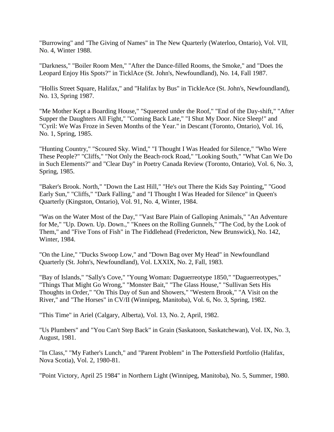"Burrowing" and "The Giving of Names" in The New Quarterly (Waterloo, Ontario), Vol. VII, No. 4, Winter 1988.

"Darkness," "Boiler Room Men," "After the Dance-filled Rooms, the Smoke," and "Does the Leopard Enjoy His Spots?" in TicklAce (St. John's, Newfoundland), No. 14, Fall 1987.

"Hollis Street Square, Halifax," and "Halifax by Bus" in TickleAce (St. John's, Newfoundland), No. 13, Spring 1987.

"Me Mother Kept a Boarding House," "Squeezed under the Roof," "End of the Day-shift," "After Supper the Daughters All Fight," "Coming Back Late," "I Shut My Door. Nice Sleep!" and "Cyril: We Was Froze in Seven Months of the Year." in Descant (Toronto, Ontario), Vol. 16, No. 1, Spring, 1985.

"Hunting Country," "Scoured Sky. Wind," "I Thought I Was Headed for Silence," "Who Were These People?" "Cliffs," "Not Only the Beach-rock Road," "Looking South," "What Can We Do in Such Elements?" and "Clear Day" in Poetry Canada Review (Toronto, Ontario), Vol. 6, No. 3, Spring, 1985.

"Baker's Brook. North," "Down the Last Hill," "He's out There the Kids Say Pointing," "Good Early Sun," "Cliffs," "Dark Falling," and "I Thought I Was Headed for Silence" in Queen's Quarterly (Kingston, Ontario), Vol. 91, No. 4, Winter, 1984.

"Was on the Water Most of the Day," "Vast Bare Plain of Galloping Animals," "An Adventure for Me," "Up. Down. Up. Down.," "Knees on the Rolling Gunnels," "The Cod, by the Look of Them," and "Five Tons of Fish" in The Fiddlehead (Fredericton, New Brunswick), No. 142, Winter, 1984.

"On the Line," "Ducks Swoop Low," and "Down Bag over My Head" in Newfoundland Quarterly (St. John's, Newfoundland), Vol. LXXIX, No. 2, Fall, 1983.

"Bay of Islands," "Sally's Cove," "Young Woman: Daguerreotype 1850," "Daguerreotypes," "Things That Might Go Wrong," "Monster Bait," "The Glass House," "Sullivan Sets His Thoughts in Order," "On This Day of Sun and Showers," "Western Brook," "A Visit on the River," and "The Horses" in CV/II (Winnipeg, Manitoba), Vol. 6, No. 3, Spring, 1982.

"This Time" in Ariel (Calgary, Alberta), Vol. 13, No. 2, April, 1982.

"Us Plumbers" and "You Can't Step Back" in Grain (Saskatoon, Saskatchewan), Vol. IX, No. 3, August, 1981.

"In Class," "My Father's Lunch," and "Parent Problem" in The Pottersfield Portfolio (Halifax, Nova Scotia), Vol. 2, 1980-81.

"Point Victory, April 25 1984" in Northern Light (Winnipeg, Manitoba), No. 5, Summer, 1980.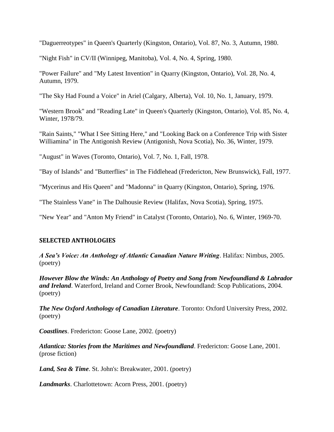"Daguerreotypes" in Queen's Quarterly (Kingston, Ontario), Vol. 87, No. 3, Autumn, 1980.

"Night Fish" in CV/II (Winnipeg, Manitoba), Vol. 4, No. 4, Spring, 1980.

"Power Failure" and "My Latest Invention" in Quarry (Kingston, Ontario), Vol. 28, No. 4, Autumn, 1979.

"The Sky Had Found a Voice" in Ariel (Calgary, Alberta), Vol. 10, No. 1, January, 1979.

"Western Brook" and "Reading Late" in Queen's Quarterly (Kingston, Ontario), Vol. 85, No. 4, Winter, 1978/79.

"Rain Saints," "What I See Sitting Here," and "Looking Back on a Conference Trip with Sister Williamina" in The Antigonish Review (Antigonish, Nova Scotia), No. 36, Winter, 1979.

"August" in Waves (Toronto, Ontario), Vol. 7, No. 1, Fall, 1978.

"Bay of Islands" and "Butterflies" in The Fiddlehead (Fredericton, New Brunswick), Fall, 1977.

"Mycerinus and His Queen" and "Madonna" in Quarry (Kingston, Ontario), Spring, 1976.

"The Stainless Vane" in The Dalhousie Review (Halifax, Nova Scotia), Spring, 1975.

"New Year" and "Anton My Friend" in Catalyst (Toronto, Ontario), No. 6, Winter, 1969-70.

### **SELECTED ANTHOLOGIES**

*A Sea's Voice: An Anthology of Atlantic Canadian Nature Writing*. Halifax: Nimbus, 2005. (poetry)

*However Blow the Winds: An Anthology of Poetry and Song from Newfoundland & Labrador and Ireland*. Waterford, Ireland and Corner Brook, Newfoundland: Scop Publications, 2004. (poetry)

*The New Oxford Anthology of Canadian Literature*. Toronto: Oxford University Press, 2002. (poetry)

*Coastlines*. Fredericton: Goose Lane, 2002. (poetry)

*Atlantica: Stories from the Maritimes and Newfoundland*. Fredericton: Goose Lane, 2001. (prose fiction)

*Land, Sea & Time*. St. John's: Breakwater, 2001. (poetry)

*Landmarks*. Charlottetown: Acorn Press, 2001. (poetry)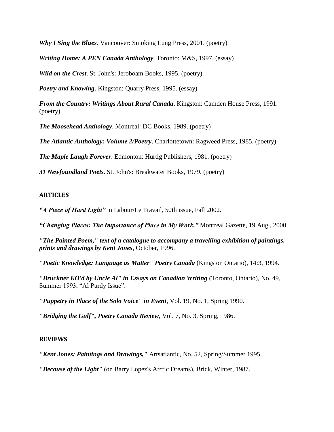*Why I Sing the Blues.* Vancouver: Smoking Lung Press, 2001. (poetry)

*Writing Home: A PEN Canada Anthology*. Toronto: M&S, 1997. (essay)

*Wild on the Crest*. St. John's: Jeroboam Books, 1995. (poetry)

*Poetry and Knowing*. Kingston: Quarry Press, 1995. (essay)

*From the Country: Writings About Rural Canada*. Kingston: Camden House Press, 1991. (poetry)

*The Moosehead Anthology*. Montreal: DC Books, 1989. (poetry)

*The Atlantic Anthology: Volume 2/Poetry*. Charlottetown: Ragweed Press, 1985. (poetry)

*The Maple Laugh Forever*. Edmonton: Hurtig Publishers, 1981. (poetry)

*31 Newfoundland Poets*. St. John's: Breakwater Books, 1979. (poetry)

#### **ARTICLES**

*"A Piece of Hard Light"* in Labour/Le Travail, 50th issue, Fall 2002.

*"Changing Places: The Importance of Place in My Work,"* Montreal Gazette, 19 Aug., 2000.

*"The Painted Poem," text of a catalogue to accompany a travelling exhibition of paintings, prints and drawings by Kent Jones*, October, 1996.

*"Poetic Knowledge: Language as Matter" Poetry Canada* (Kingston Ontario), 14:3, 1994.

*"Bruckner KO'd by Uncle Al" in Essays on Canadian Writing* (Toronto, Ontario), No. 49, Summer 1993, "Al Purdy Issue".

*"Puppetry in Place of the Solo Voice" in Event*, Vol. 19, No. 1, Spring 1990.

*"Bridging the Gulf", Poetry Canada Review*, Vol. 7, No. 3, Spring, 1986.

#### **REVIEWS**

*"Kent Jones: Paintings and Drawings,"* Artsatlantic, No. 52, Spring/Summer 1995.

*"Because of the Light"* (on Barry Lopez's Arctic Dreams), Brick, Winter, 1987.